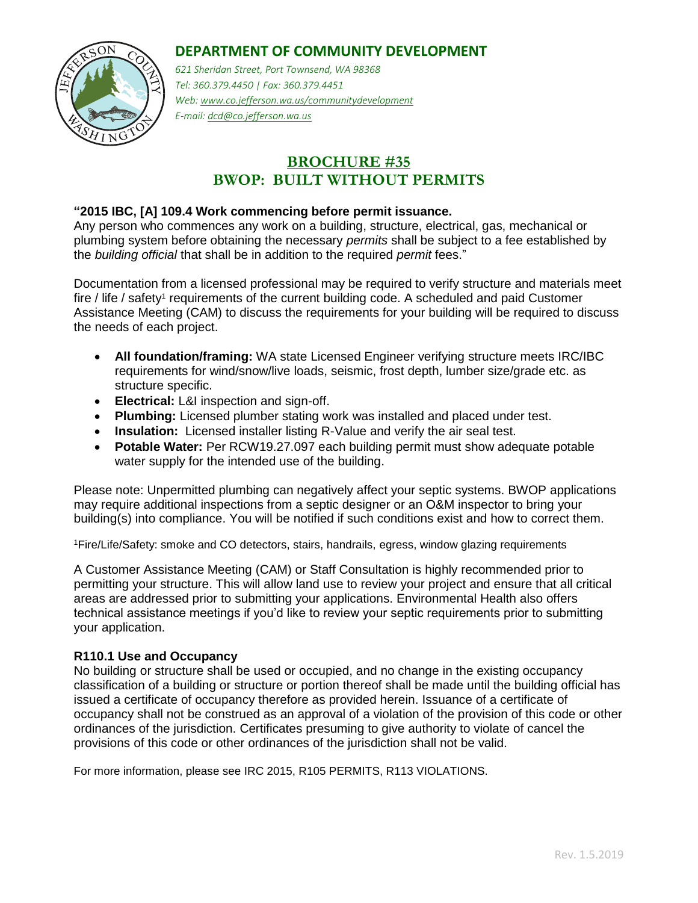### **DEPARTMENT OF COMMUNITY DEVELOPMENT**



*621 Sheridan Street, Port Townsend, WA 98368 Tel: 360.379.4450 | Fax: 360.379.4451 Web: www.co.jefferson.wa.us/communitydevelopment E-mail: dcd@co.jefferson.wa.us* 

# **BROCHURE #35 BWOP: BUILT WITHOUT PERMITS**

### **"2015 IBC, [A] 109.4 Work commencing before permit issuance.**

Any person who commences any work on a building, structure, electrical, gas, mechanical or plumbing system before obtaining the necessary *permits* shall be subject to a fee established by the *building official* that shall be in addition to the required *permit* fees."

Documentation from a licensed professional may be required to verify structure and materials meet fire / life / safety<sup>1</sup> requirements of the current building code. A scheduled and paid Customer Assistance Meeting (CAM) to discuss the requirements for your building will be required to discuss the needs of each project.

- **All foundation/framing:** WA state Licensed Engineer verifying structure meets IRC/IBC requirements for wind/snow/live loads, seismic, frost depth, lumber size/grade etc. as structure specific.
- **Electrical:** L&I inspection and sign-off.
- **Plumbing:** Licensed plumber stating work was installed and placed under test.
- **Insulation:** Licensed installer listing R-Value and verify the air seal test.
- **Potable Water:** Per RCW19.27.097 each building permit must show adequate potable water supply for the intended use of the building.

Please note: Unpermitted plumbing can negatively affect your septic systems. BWOP applications may require additional inspections from a septic designer or an O&M inspector to bring your building(s) into compliance. You will be notified if such conditions exist and how to correct them.

<sup>1</sup>Fire/Life/Safety: smoke and CO detectors, stairs, handrails, egress, window glazing requirements

A Customer Assistance Meeting (CAM) or Staff Consultation is highly recommended prior to permitting your structure. This will allow land use to review your project and ensure that all critical areas are addressed prior to submitting your applications. Environmental Health also offers technical assistance meetings if you'd like to review your septic requirements prior to submitting your application.

#### **R110.1 Use and Occupancy**

No building or structure shall be used or occupied, and no change in the existing occupancy classification of a building or structure or portion thereof shall be made until the building official has issued a certificate of occupancy therefore as provided herein. Issuance of a certificate of occupancy shall not be construed as an approval of a violation of the provision of this code or other ordinances of the jurisdiction. Certificates presuming to give authority to violate of cancel the provisions of this code or other ordinances of the jurisdiction shall not be valid.

For more information, please see IRC 2015, R105 PERMITS, R113 VIOLATIONS.